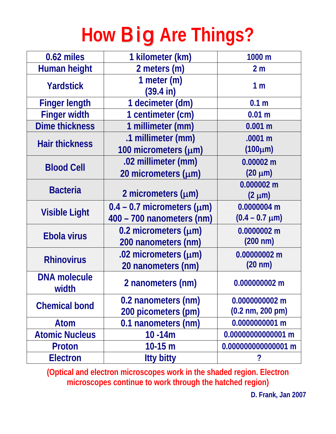# **How** Big **Are Things?**

| 0.62 miles                   | 1 kilometer (km)                     | 1000 m                             |
|------------------------------|--------------------------------------|------------------------------------|
| <b>Human height</b>          | 2 meters (m)                         | 2 <sub>m</sub>                     |
| <b>Yardstick</b>             | 1 meter $(m)$<br>$(39.4 \text{ in})$ | 1 <sub>m</sub>                     |
| <b>Finger length</b>         | 1 decimeter (dm)                     | 0.1 <sub>m</sub>                   |
| <b>Finger width</b>          | 1 centimeter (cm)                    | 0.01 <sub>m</sub>                  |
| <b>Dime thickness</b>        | 1 millimeter (mm)                    | 0.001 m                            |
| <b>Hair thickness</b>        | .1 millimeter (mm)                   | .0001 m                            |
|                              | 100 micrometers (μm)                 | $(100 \mu m)$                      |
| <b>Blood Cell</b>            | .02 millimeter (mm)                  | $0.00002$ m                        |
|                              | 20 micrometers $(\mu m)$             | $(20 \mu m)$                       |
| <b>Bacteria</b>              |                                      | $0.000002$ m                       |
|                              | 2 micrometers $(\mu m)$              | $(2 \mu m)$                        |
| <b>Visible Light</b>         | $0.4 - 0.7$ micrometers ( $\mu$ m)   | 0.0000004 m                        |
|                              | 400 - 700 nanometers (nm)            | $(0.4 - 0.7 \mu m)$                |
| <b>Ebola virus</b>           | 0.2 micrometers $(\mu m)$            | 0.0000002 m                        |
|                              | 200 nanometers (nm)                  | $(200 \text{ nm})$                 |
| <b>Rhinovirus</b>            | .02 micrometers $(\mu m)$            | 0.00000002 m                       |
|                              | 20 nanometers (nm)                   | $(20 \text{ nm})$                  |
| <b>DNA molecule</b><br>width | 2 nanometers (nm)                    | 0.000000002 m                      |
| <b>Chemical bond</b>         | 0.2 nanometers (nm)                  | 0.0000000002 m                     |
|                              | 200 picometers (pm)                  | $(0.2 \text{ nm}, 200 \text{ pm})$ |
| Atom                         | 0.1 nanometers (nm)                  | 0.0000000001 m                     |
| <b>Atomic Nucleus</b>        | $10 - 14m$                           | 0.00000000000001 m                 |
| Proton                       | $10-15 m$                            | 0.000000000000001 m                |
| <b>Electron</b>              | <b>Itty bitty</b>                    | ?                                  |

**(Optical and electron microscopes work in the shaded region. Electron microscopes continue to work through the hatched region)**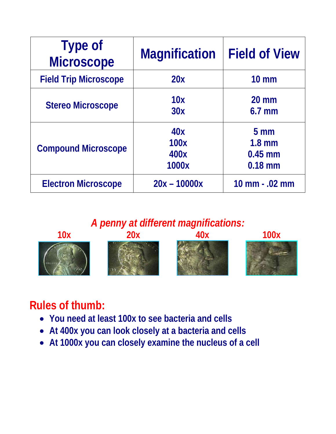| <b>Type of</b><br><b>Microscope</b> | <b>Magnification</b>         | <b>Field of View</b>                                  |
|-------------------------------------|------------------------------|-------------------------------------------------------|
| <b>Field Trip Microscope</b>        | 20x                          | $10 \text{ mm}$                                       |
| <b>Stereo Microscope</b>            | 10x<br>30x                   | $20 \text{ mm}$<br>$6.7$ mm                           |
| <b>Compound Microscope</b>          | 40x<br>100x<br>400x<br>1000x | 5 <sub>mm</sub><br>$1.8$ mm<br>$0.45$ mm<br>$0.18$ mm |
| <b>Electron Microscope</b>          | $20x - 10000x$               | 10 mm - .02 mm                                        |

*A penny at different magnifications:* 



#### **Rules of thumb:**

- **You need at least 100x to see bacteria and cells**
- **At 400x you can look closely at a bacteria and cells**
- **At 1000x you can closely examine the nucleus of a cell**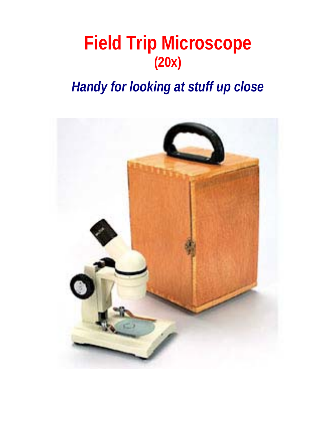# **Field Trip Microscope (20x)**

#### *Handy for looking at stuff up close*

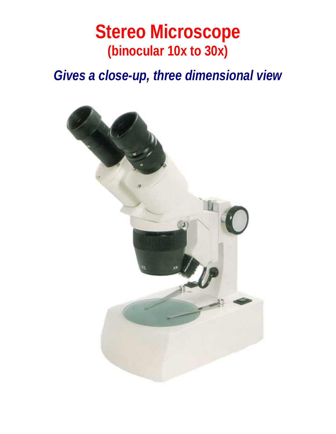#### **Stereo Microscope (binocular 10x to 30x)**

*Gives a close-up, three dimensional view* 

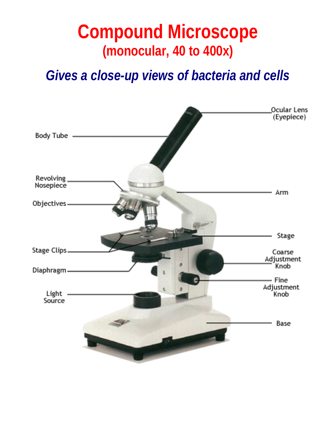# **Compound Microscope (monocular, 40 to 400x)**

*Gives a close-up views of bacteria and cells* 

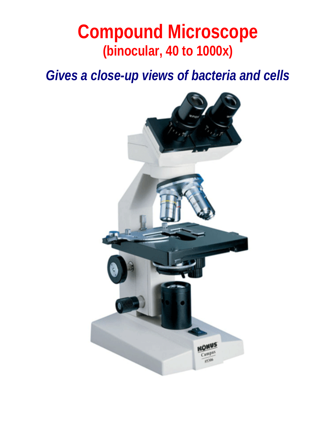# **Compound Microscope (binocular, 40 to 1000x)**

*Gives a close-up views of bacteria and cells*